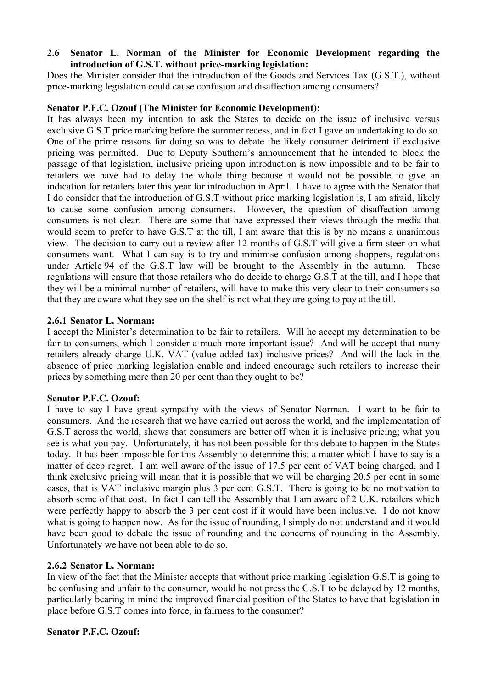# **2.6** � **Senator L. Norman of the Minister for Economic Development regarding the introduction of G.S.T. without price-marking legislation:**

Does the Minister consider that the introduction of the Goods and Services Tax (G.S.T.), without price-marking legislation could cause confusion and disaffection among consumers?

# **Senator P.F.C. Ozouf (The Minister for Economic Development):**

It has always been my intention to ask the States to decide on the issue of inclusive versus exclusive G.S.T price marking before the summer recess, and in fact I gave an undertaking to do so. One of the prime reasons for doing so was to debate the likely consumer detriment if exclusive pricing was permitted. Due to Deputy Southern's announcement that he intended to block the passage of that legislation, inclusive pricing upon introduction is now impossible and to be fair to retailers we have had to delay the whole thing because it would not be possible to give an indication for retailers later this year for introduction in April. I have to agree with the Senator that I do consider that the introduction of G.S.T without price marking legislation is, I am afraid, likely to cause some confusion among consumers. However, the question of disaffection among consumers is not clear. There are some that have expressed their views through the media that would seem to prefer to have G.S.T at the till, I am aware that this is by no means a unanimous view. The decision to carry out a review after 12 months of G.S.T will give a firm steer on what consumers want. What I can say is to try and minimise confusion among shoppers, regulations under Article 94 of the G.S.T law will be brought to the Assembly in the autumn. These regulations will ensure that those retailers who do decide to charge G.S.T at the till, and I hope that they will be a minimal number of retailers, will have to make this very clear to their consumers so that they are aware what they see on the shelf is not what they are going to pay at the till.

# **2.6.1 Senator L. Norman:**

 retailers already charge U.K. VAT (value added tax) inclusive prices? And will the lack in the I accept the Minister's determination to be fair to retailers. Will he accept my determination to be fair to consumers, which I consider a much more important issue? And will he accept that many absence of price marking legislation enable and indeed encourage such retailers to increase their prices by something more than 20 per cent than they ought to be?

# **Senator P.F.C. Ozouf:**

I have to say I have great sympathy with the views of Senator Norman. I want to be fair to consumers. And the research that we have carried out across the world, and the implementation of G.S.T across the world, shows that consumers are better off when it is inclusive pricing; what you see is what you pay. Unfortunately, it has not been possible for this debate to happen in the States today. It has been impossible for this Assembly to determine this; a matter which I have to say is a matter of deep regret. I am well aware of the issue of 17.5 per cent of VAT being charged, and I think exclusive pricing will mean that it is possible that we will be charging 20.5 per cent in some cases, that is VAT inclusive margin plus 3 per cent G.S.T. There is going to be no motivation to absorb some of that cost. In fact I can tell the Assembly that I am aware of 2 U.K. retailers which were perfectly happy to absorb the 3 per cent cost if it would have been inclusive. I do not know what is going to happen now. As for the issue of rounding, I simply do not understand and it would have been good to debate the issue of rounding and the concerns of rounding in the Assembly. Unfortunately we have not been able to do so.

# **2.6.2 Senator L. Norman:**

In view of the fact that the Minister accepts that without price marking legislation G.S.T is going to be confusing and unfair to the consumer, would he not press the G.S.T to be delayed by 12 months, particularly bearing in mind the improved financial position of the States to have that legislation in place before G.S.T comes into force, in fairness to the consumer?

# **Senator P.F.C. Ozouf:**